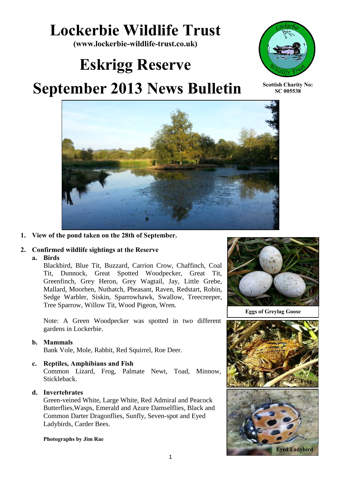# **Lockerbie Wildlife Trust**

**(www.lockerbie-wildlife-trust.co.uk)** 

# **Eskrigg Reserve**



**Scottish Charity No: SC 005538**

## **September 2013 News Bulletin**



#### **1. View of the pond taken on the 28th of September.**

#### **2. Confirmed wildlife sightings at the Reserve**

#### **a. Birds**

Blackbird, Blue Tit, Buzzard, Carrion Crow, Chaffinch, Coal Tit, Dunnock, Great Spotted Woodpecker, Great Tit, Greenfinch, Grey Heron, Grey Wagtail, Jay, Little Grebe, Mallard, Moorhen, Nuthatch, Pheasant, Raven, Redstart, Robin, Sedge Warbler, Siskin, Sparrowhawk, Swallow, Treecreeper, Tree Sparrow, Willow Tit, Wood Pigeon, Wren.

Note: A Green Woodpecker was spotted in two different gardens in Lockerbie.

#### **b. Mammals**

Bank Vole, Mole, Rabbit, Red Squirrel, Roe Deer.

#### **c. Reptiles, Amphibians and Fish**

Common Lizard, Frog, Palmate Newt, Toad, Minnow, Stickleback.

#### **d. Invertebrates**

Green-veined White, Large White, Red Admiral and Peacock Butterflies,Wasps, Emerald and Azure Damselflies, Black and Common Darter Dragonflies, Sunfly, Seven-spot and Eyed Ladybirds, Carder Bees.

#### **Photographs by Jim Rae**



**Eggs of Greylag Goose**

![](_page_0_Picture_21.jpeg)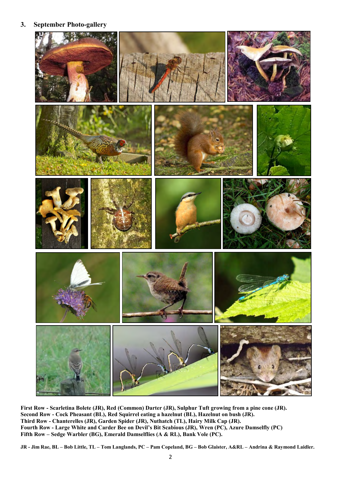**3. September Photo-gallery**

![](_page_1_Picture_1.jpeg)

**First Row - Scarletina Bolete (JR), Red (Common) Darter (JR), Sulphur Tuft growing from a pine cone (JR). Second Row - Cock Pheasant (BL), Red Squirrel eating a hazelnut (BL), Hazelnut on bush (JR). Third Row - Chanterelles (JR), Garden Spider (JR), Nuthatch (TL), Hairy Milk Cap (JR). Fourth Row - Large White and Carder Bee on Devil's Bit Scabious (JR), Wren (PC), Azure Damselfly (PC) Fifth Row – Sedge Warbler (BG), Emerald Damselflies (A & RL), Bank Vole (PC).**

**JR - Jim Rae, BL – Bob Little, TL – Tom Langlands, PC – Pam Copeland, BG – Bob Glaister, A&RL – Andrina & Raymond Laidler.**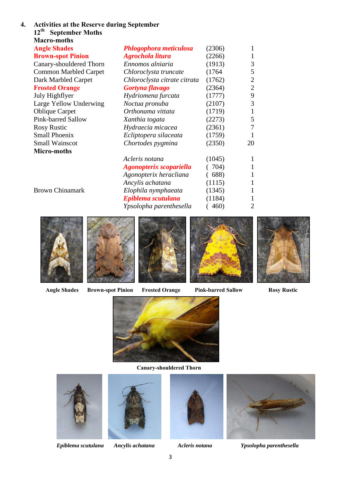| <b>Macro-moths</b>           |                                |        |    |
|------------------------------|--------------------------------|--------|----|
| <b>Angle Shades</b>          | <b>Phlogophora meticulosa</b>  | (2306) |    |
| <b>Brown-spot Pinion</b>     | Agrochola litura               | (2266) |    |
| Canary-shouldered Thorn      | Ennomos alniaria               | (1913) |    |
| <b>Common Marbled Carpet</b> | Chloroclysta truncate          | (1764) |    |
| Dark Marbled Carpet          | Chloroclysta citrate citrata   | (1762) |    |
| <b>Frosted Orange</b>        | Gortyna flavago                | (2364) |    |
| July Highflyer               | Hydriomena furcata             | (1777) |    |
| Large Yellow Underwing       | Noctua pronuba                 | (2107) |    |
| <b>Oblique Carpet</b>        | Orthonama vittata              | (1719) |    |
| Pink-barred Sallow           | Xanthia togata                 | (2273) |    |
| <b>Rosy Rustic</b>           | Hydraecia micacea              | (2361) |    |
| <b>Small Phoenix</b>         | Ecliptopera silaceata          | (1759) |    |
| <b>Small Wainscot</b>        | Chortodes pygmina              | (2350) | 20 |
| Micro-moths                  |                                |        |    |
|                              | Acleris notana                 | (1045) |    |
|                              | <b>Agonopterix scopariella</b> | 704)   |    |
|                              | Agonopterix heracliana         | 688)   |    |
|                              | Ancylis achatana               | (1115) |    |
| <b>Brown Chinamark</b>       | Elophila nymphaeata            | (1345) |    |
|                              | Epiblema scutulana             | (1184) |    |
|                              | Ypsolopha parenthesella        | 460)   |    |

![](_page_2_Picture_1.jpeg)

![](_page_2_Picture_2.jpeg)

![](_page_2_Picture_3.jpeg)

![](_page_2_Picture_4.jpeg)

![](_page_2_Picture_5.jpeg)

 **Angle Shades Brown-spot Pinion Frosted Orange Pink-barred Sallow Rosy Rustic** 

![](_page_2_Picture_11.jpeg)

 **Canary-shouldered Thorn** 

![](_page_2_Picture_13.jpeg)

![](_page_2_Picture_15.jpeg)

![](_page_2_Picture_17.jpeg)

![](_page_2_Picture_19.jpeg)

*Epiblema scutulana Ancylis achatana Acleris notana Ypsolopha parenthesella*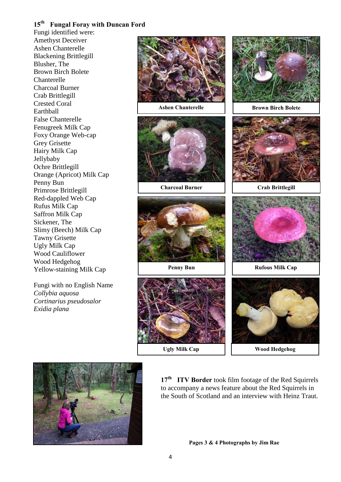#### **15th Fungal Foray with Duncan Ford**

Fungi identified were: Amethyst Deceiver Ashen Chanterelle Blackening Brittlegill Blusher, The Brown Birch Bolete Chanterelle Charcoal Burner Crab Brittlegill Crested Coral Earthball False Chanterelle Fenugreek Milk Cap Foxy Orange Web-cap Grey Grisette Hairy Milk Cap Jellybaby Ochre Brittlegill Orange (Apricot) Milk Cap Penny Bun Primrose Brittlegill Red-dappled Web Cap Rufus Milk Cap Saffron Milk Cap Sickener, The Slimy (Beech) Milk Cap Tawny Grisette Ugly Milk Cap Wood Cauliflower Wood Hedgehog Yellow-staining Milk Cap

Fungi with no English Name *Collybia aquosa Cortinarius pseudosalor Exidia plana* 

![](_page_3_Picture_3.jpeg)

**Ashen Chanterelle**

![](_page_3_Picture_5.jpeg)

**Charcoal Burner**

![](_page_3_Picture_7.jpeg)

![](_page_3_Picture_9.jpeg)

**Ugly Milk Cap**

![](_page_3_Picture_11.jpeg)

**Brown Birch Bolete**

![](_page_3_Picture_13.jpeg)

**Crab Brittlegill**

![](_page_3_Picture_15.jpeg)

**Penny Bun Rufous Milk Cap** 

![](_page_3_Picture_17.jpeg)

**Wood Hedgehog**

![](_page_3_Picture_19.jpeg)

**17th ITV Border** took film footage of the Red Squirrels to accompany a news feature about the Red Squirrels in the South of Scotland and an interview with Heinz Traut.

**Pages 3 & 4 Photographs by Jim Rae**